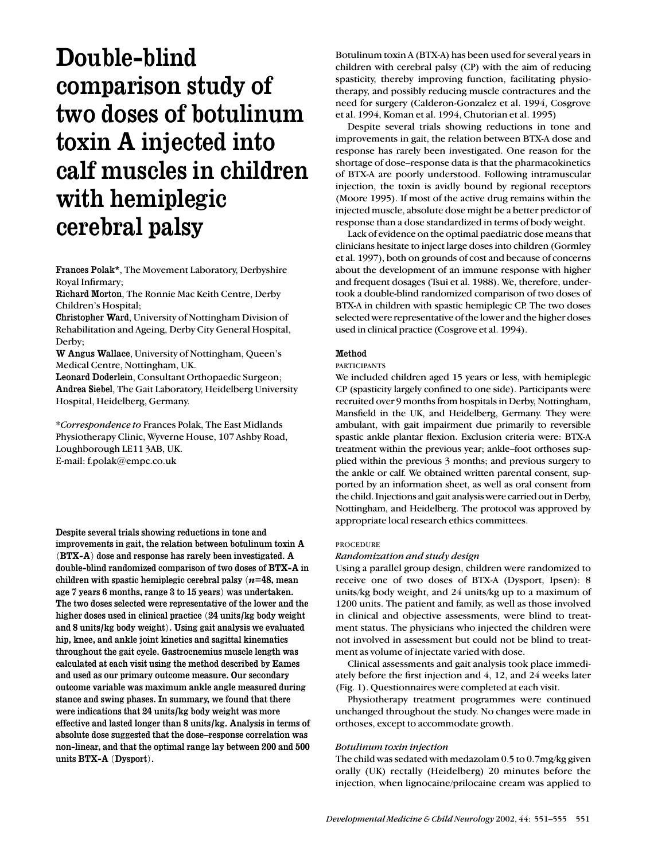# Double-blind comparison study of two doses of botulinum toxin A injected into calf muscles in children with hemiplegic cerebral palsy

Frances Polak\*, The Movement Laboratory, Derbyshire Royal Infirmary;

Richard Morton, The Ronnie Mac Keith Centre, Derby Children's Hospital;

Christopher Ward, University of Nottingham Division of Rehabilitation and Ageing, Derby City General Hospital, Derby:

W Angus Wallace, University of Nottingham, Queen's Medical Centre, Nottingham, UK.

Leonard Doderlein, Consultant Orthopaedic Surgeon; Andrea Siebel, The Gait Laboratory, Heidelberg University Hospital, Heidelberg, Germany.

\**Correspondence to* Frances Polak, The East Midlands Physiotherapy Clinic, Wyverne House, 107 Ashby Road, Loughborough LE11 3AB, UK. E-mail: f.polak@empc.co.uk

Despite several trials showing reductions in tone and improvements in gait, the relation between botulinum toxin A (BTX-A) dose and response has rarely been investigated. A double-blind randomized comparison of two doses of BTX-A in children with spastic hemiplegic cerebral palsy (*n*=48, mean age 7 years 6 months, range 3 to 15 years) was undertaken. The two doses selected were representative of the lower and the higher doses used in clinical practice (24 units/kg body weight and 8 units/kg body weight). Using gait analysis we evaluated hip, knee, and ankle joint kinetics and sagittal kinematics throughout the gait cycle. Gastrocnemius muscle length was calculated at each visit using the method described by Eames and used as our primary outcome measure. Our secondary outcome variable was maximum ankle angle measured during stance and swing phases. In summary, we found that there were indications that 24 units/kg body weight was more effective and lasted longer than 8 units/kg. Analysis in terms of absolute dose suggested that the dose–response correlation was non-linear, and that the optimal range lay between 200 and 500 units BTX-A (Dysport).

Botulinum toxin A (BTX-A) has been used for several years in children with cerebral palsy (CP) with the aim of reducing spasticity, thereby improving function, facilitating physiotherapy, and possibly reducing muscle contractures and the need for surgery (Calderon-Gonzalez et al. 1994, Cosgrove et al. 1994, Koman et al. 1994, Chutorian et al. 1995)

Despite several trials showing reductions in tone and improvements in gait, the relation between BTX-A dose and response has rarely been investigated. One reason for the shortage of dose–response data is that the pharmacokinetics of BTX-A are poorly understood. Following intramuscular injection, the toxin is avidly bound by regional receptors (Moore 1995). If most of the active drug remains within the injected muscle, absolute dose might be a better predictor of response than a dose standardized in terms of body weight.

Lack of evidence on the optimal paediatric dose means that clinicians hesitate to inject large doses into children (Gormley et al. 1997), both on grounds of cost and because of concerns about the development of an immune response with higher and frequent dosages (Tsui et al. 1988). We, therefore, undertook a double-blind randomized comparison of two doses of BTX-A in children with spastic hemiplegic CP. The two doses selected were representative of the lower and the higher doses used in clinical practice (Cosgrove et al. 1994).

# Method

## PARTICIPANTS

We included children aged 15 years or less, with hemiplegic CP (spasticity largely confined to one side). Participants were recruited over 9 months from hospitals in Derby, Nottingham, Mansfield in the UK, and Heidelberg, Germany. They were ambulant, with gait impairment due primarily to reversible spastic ankle plantar flexion. Exclusion criteria were: BTX-A treatment within the previous year; ankle–foot orthoses supplied within the previous 3 months; and previous surgery to the ankle or calf. We obtained written parental consent, supported by an information sheet, as well as oral consent from the child. Injections and gait analysis were carried out in Derby, Nottingham, and Heidelberg. The protocol was approved by appropriate local research ethics committees.

# PROCEDURE

# *Randomization and study design*

Using a parallel group design, children were randomized to receive one of two doses of BTX-A (Dysport, Ipsen): 8 units/kg body weight, and 24 units/kg up to a maximum of 1200 units. The patient and family, as well as those involved in clinical and objective assessments, were blind to treatment status. The physicians who injected the children were not involved in assessment but could not be blind to treatment as volume of injectate varied with dose.

Clinical assessments and gait analysis took place immediately before the first injection and 4, 12, and 24 weeks later (Fig. 1). Questionnaires were completed at each visit.

Physiotherapy treatment programmes were continued unchanged throughout the study. No changes were made in orthoses, except to accommodate growth.

## *Botulinum toxin injection*

The child was sedated with medazolam 0.5 to 0.7mg/kg given orally (UK) rectally (Heidelberg) 20 minutes before the injection, when lignocaine/prilocaine cream was applied to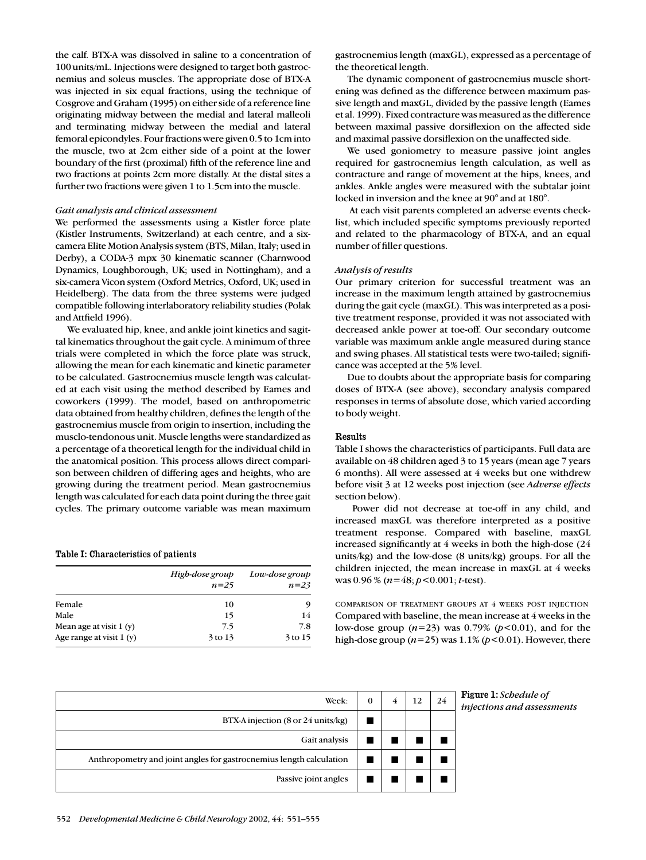the calf. BTX-A was dissolved in saline to a concentration of 100 units/mL. Injections were designed to target both gastrocnemius and soleus muscles. The appropriate dose of BTX-A was injected in six equal fractions, using the technique of Cosgrove and Graham (1995) on either side of a reference line originating midway between the medial and lateral malleoli and terminating midway between the medial and lateral femoral epicondyles. Four fractions were given 0.5 to 1cm into the muscle, two at 2cm either side of a point at the lower boundary of the first (proximal) fifth of the reference line and two fractions at points 2cm more distally. At the distal sites a further two fractions were given 1 to 1.5cm into the muscle.

# *Gait analysis and clinical assessment*

We performed the assessments using a Kistler force plate (Kistler Instruments, Switzerland) at each centre, and a sixcamera Elite Motion Analysis system (BTS, Milan, Italy; used in Derby), a CODA-3 mpx 30 kinematic scanner (Charnwood Dynamics, Loughborough, UK; used in Nottingham), and a six-camera Vicon system (Oxford Metrics, Oxford, UK; used in Heidelberg). The data from the three systems were judged compatible following interlaboratory reliability studies (Polak and Attfield 1996).

We evaluated hip, knee, and ankle joint kinetics and sagittal kinematics throughout the gait cycle. A minimum of three trials were completed in which the force plate was struck, allowing the mean for each kinematic and kinetic parameter to be calculated. Gastrocnemius muscle length was calculated at each visit using the method described by Eames and coworkers (1999). The model, based on anthropometric data obtained from healthy children, defines the length of the gastrocnemius muscle from origin to insertion, including the musclo-tendonous unit. Muscle lengths were standardized as a percentage of a theoretical length for the individual child in the anatomical position. This process allows direct comparison between children of differing ages and heights, who are growing during the treatment period. Mean gastrocnemius length was calculated for each data point during the three gait cycles. The primary outcome variable was mean maximum

#### Table I: Characteristics of patients

|                           | High-dose group<br>$n=25$ | Low-dose group<br>$n=23$ |
|---------------------------|---------------------------|--------------------------|
| Female                    | 10                        | 9                        |
| Male                      | 15                        | 14                       |
| Mean age at visit $1(y)$  | 7.5                       | 7.8                      |
| Age range at visit $1(y)$ | 3 to 13                   | 3 to 15                  |

gastrocnemius length (maxGL), expressed as a percentage of the theoretical length.

The dynamic component of gastrocnemius muscle shortening was defined as the difference between maximum passive length and maxGL, divided by the passive length (Eames et al. 1999). Fixed contracture was measured as the difference between maximal passive dorsiflexion on the affected side and maximal passive dorsiflexion on the unaffected side.

We used goniometry to measure passive joint angles required for gastrocnemius length calculation, as well as contracture and range of movement at the hips, knees, and ankles. Ankle angles were measured with the subtalar joint locked in inversion and the knee at 90° and at 180°.

At each visit parents completed an adverse events checklist, which included specific symptoms previously reported and related to the pharmacology of BTX-A, and an equal number of filler questions.

# *Analysis of results*

Our primary criterion for successful treatment was an increase in the maximum length attained by gastrocnemius during the gait cycle (maxGL). This was interpreted as a positive treatment response, provided it was not associated with decreased ankle power at toe-off. Our secondary outcome variable was maximum ankle angle measured during stance and swing phases. All statistical tests were two-tailed; significance was accepted at the 5% level.

Due to doubts about the appropriate basis for comparing doses of BTX-A (see above), secondary analysis compared responses in terms of absolute dose, which varied according to body weight.

# Results

Table I shows the characteristics of participants. Full data are available on 48 children aged 3 to 15 years (mean age 7 years 6 months). All were assessed at 4 weeks but one withdrew before visit 3 at 12 weeks post injection (see *Adverse effects* section below).

Power did not decrease at toe-off in any child, and increased maxGL was therefore interpreted as a positive treatment response. Compared with baseline, maxGL increased significantly at 4 weeks in both the high-dose (24 units/kg) and the low-dose (8 units/kg) groups. For all the children injected, the mean increase in maxGL at 4 weeks was 0.96 % (*n*=48; *p*<0.001; *t*-test).

COMPARISON OF TREATMENT GROUPS AT 4 WEEKS POST INJECTION Compared with baseline, the mean increase at 4 weeks in the low-dose group (*n*=23) was 0.79% (*p*<0.01), and for the high-dose group  $(n=25)$  was  $1.1\%$   $(p<0.01)$ . However, there

| Week:                                                               | 0 | 4 | 12 | 24 |
|---------------------------------------------------------------------|---|---|----|----|
| BTX-A injection (8 or 24 units/kg)                                  |   |   |    |    |
| Gait analysis                                                       |   |   |    |    |
| Anthropometry and joint angles for gastrocnemius length calculation |   |   |    |    |
| Passive joint angles                                                |   |   |    |    |

Figure 1: *Schedule of*  $injections$  and assessments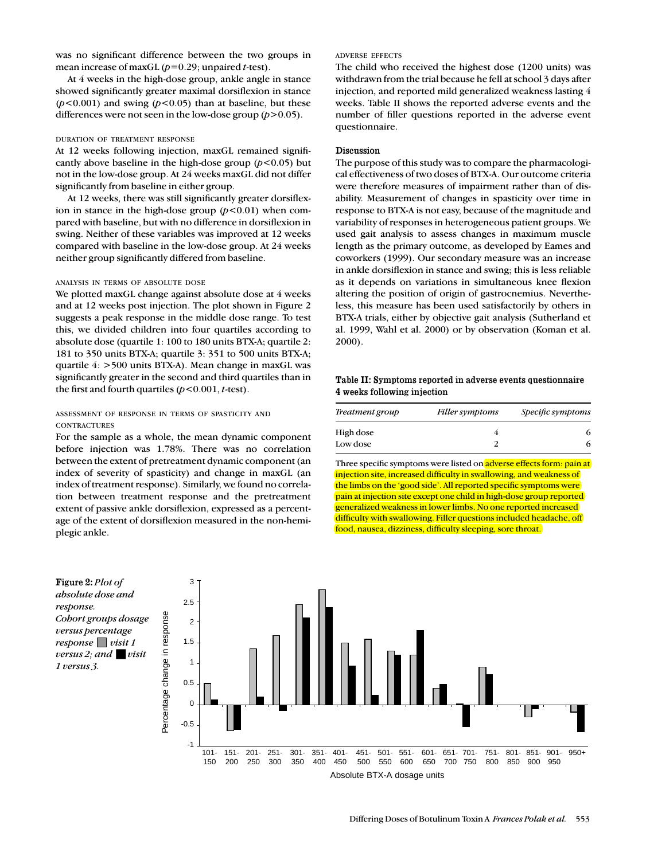was no significant difference between the two groups in mean increase of maxGL (*p*=0.29; unpaired *t*-test).

At 4 weeks in the high-dose group, ankle angle in stance showed significantly greater maximal dorsiflexion in stance  $(p<0.001)$  and swing  $(p<0.05)$  than at baseline, but these differences were not seen in the low-dose group (*p*>0.05).

#### DURATION OF TREATMENT RESPONSE

At 12 weeks following injection, maxGL remained significantly above baseline in the high-dose group  $(p<0.05)$  but not in the low-dose group. At 24 weeks maxGL did not differ significantly from baseline in either group.

At 12 weeks, there was still significantly greater dorsiflexion in stance in the high-dose group  $(p<0.01)$  when compared with baseline, but with no difference in dorsiflexion in swing. Neither of these variables was improved at 12 weeks compared with baseline in the low-dose group. At 24 weeks neither group significantly differed from baseline.

#### ANALYSIS IN TERMS OF ABSOLUTE DOSE

We plotted maxGL change against absolute dose at 4 weeks and at 12 weeks post injection. The plot shown in Figure 2 suggests a peak response in the middle dose range. To test this, we divided children into four quartiles according to absolute dose (quartile 1: 100 to 180 units BTX-A; quartile 2: 181 to 350 units BTX-A; quartile 3: 351 to 500 units BTX-A; quartile 4: >500 units BTX-A). Mean change in maxGL was significantly greater in the second and third quartiles than in the first and fourth quartiles (*p*<0.001, *t*-test).

# ASSESSMENT OF RESPONSE IN TERMS OF SPASTICITY AND **CONTRACTURES**

For the sample as a whole, the mean dynamic component before injection was 1.78%. There was no correlation between the extent of pretreatment dynamic component (an index of severity of spasticity) and change in maxGL (an index of treatment response). Similarly, we found no correlation between treatment response and the pretreatment extent of passive ankle dorsiflexion, expressed as a percentage of the extent of dorsiflexion measured in the non-hemiplegic ankle.

#### ADVERSE EFFECTS

The child who received the highest dose (1200 units) was withdrawn from the trial because he fell at school 3 days after injection, and reported mild generalized weakness lasting 4 weeks. Table II shows the reported adverse events and the number of filler questions reported in the adverse event questionnaire.

# Discussion

The purpose of this study was to compare the pharmacological effectiveness of two doses of BTX-A. Our outcome criteria were therefore measures of impairment rather than of disability. Measurement of changes in spasticity over time in response to BTX-A is not easy, because of the magnitude and variability of responses in heterogeneous patient groups. We used gait analysis to assess changes in maximum muscle length as the primary outcome, as developed by Eames and coworkers (1999). Our secondary measure was an increase in ankle dorsiflexion in stance and swing; this is less reliable as it depends on variations in simultaneous knee flexion altering the position of origin of gastrocnemius. Nevertheless, this measure has been used satisfactorily by others in BTX-A trials, either by objective gait analysis (Sutherland et al. 1999, Wahl et al. 2000) or by observation (Koman et al. 2000).

# Table II: Symptoms reported in adverse events questionnaire 4 weeks following injection

| Treatment group | Filler symptoms | <i>Specific symptoms</i> |  |  |
|-----------------|-----------------|--------------------------|--|--|
| High dose       |                 |                          |  |  |
| Low dose        |                 |                          |  |  |

Three specific symptoms were listed on adverse effects form: pain at injection site, increased difficulty in swallowing, and weakness of the limbs on the 'good side'. All reported specific symptoms were pain at injection site except one child in high-dose group reported generalized weakness in lower limbs. No one reported increased difficulty with swallowing. Filler questions included headache, off food, nausea, dizziness, difficulty sleeping, sore throat.



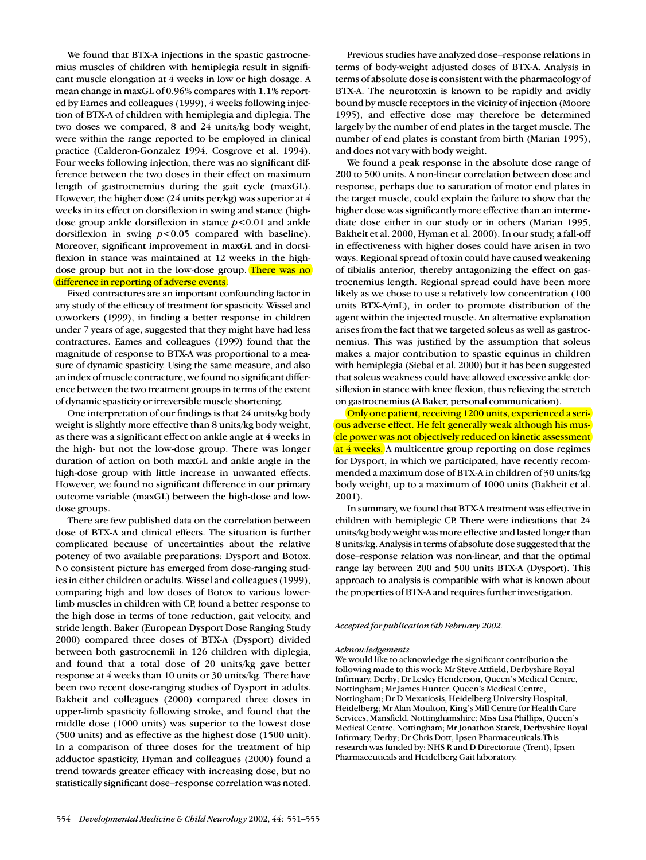We found that BTX-A injections in the spastic gastrocnemius muscles of children with hemiplegia result in significant muscle elongation at 4 weeks in low or high dosage. A mean change in maxGL of 0.96% compares with 1.1% reported by Eames and colleagues (1999), 4 weeks following injection of BTX-A of children with hemiplegia and diplegia. The two doses we compared, 8 and 24 units/kg body weight, were within the range reported to be employed in clinical practice (Calderon-Gonzalez 1994, Cosgrove et al. 1994). Four weeks following injection, there was no significant difference between the two doses in their effect on maximum length of gastrocnemius during the gait cycle (maxGL). However, the higher dose (24 units per/kg) was superior at 4 weeks in its effect on dorsiflexion in swing and stance (highdose group ankle dorsiflexion in stance *p*<0.01 and ankle dorsiflexion in swing *p*<0.05 compared with baseline). Moreover, significant improvement in maxGL and in dorsiflexion in stance was maintained at 12 weeks in the highdose group but not in the low-dose group. There was no difference in reporting of adverse events.

Fixed contractures are an important confounding factor in any study of the efficacy of treatment for spasticity. Wissel and coworkers (1999), in finding a better response in children under 7 years of age, suggested that they might have had less contractures. Eames and colleagues (1999) found that the magnitude of response to BTX-A was proportional to a measure of dynamic spasticity. Using the same measure, and also an index of muscle contracture, we found no significant difference between the two treatment groups in terms of the extent of dynamic spasticity or irreversible muscle shortening.

One interpretation of our findings is that 24 units/kg body weight is slightly more effective than 8 units/kg body weight, as there was a significant effect on ankle angle at 4 weeks in the high- but not the low-dose group. There was longer duration of action on both maxGL and ankle angle in the high-dose group with little increase in unwanted effects. However, we found no significant difference in our primary outcome variable (maxGL) between the high-dose and lowdose groups.

There are few published data on the correlation between dose of BTX-A and clinical effects. The situation is further complicated because of uncertainties about the relative potency of two available preparations: Dysport and Botox. No consistent picture has emerged from dose-ranging studies in either children or adults. Wissel and colleagues (1999), comparing high and low doses of Botox to various lowerlimb muscles in children with CP, found a better response to the high dose in terms of tone reduction, gait velocity, and stride length. Baker (European Dysport Dose Ranging Study 2000) compared three doses of BTX-A (Dysport) divided between both gastrocnemii in 126 children with diplegia, and found that a total dose of 20 units/kg gave better response at 4 weeks than 10 units or 30 units/kg. There have been two recent dose-ranging studies of Dysport in adults. Bakheit and colleagues (2000) compared three doses in upper-limb spasticity following stroke, and found that the middle dose (1000 units) was superior to the lowest dose (500 units) and as effective as the highest dose (1500 unit). In a comparison of three doses for the treatment of hip adductor spasticity, Hyman and colleagues (2000) found a trend towards greater efficacy with increasing dose, but no statistically significant dose–response correlation was noted.

554 *Developmental Medicine & Child Neurology* 2002, 44: 551–555

Previous studies have analyzed dose–response relations in terms of body-weight adjusted doses of BTX-A. Analysis in terms of absolute dose is consistent with the pharmacology of BTX-A. The neurotoxin is known to be rapidly and avidly bound by muscle receptors in the vicinity of injection (Moore 1995), and effective dose may therefore be determined largely by the number of end plates in the target muscle. The number of end plates is constant from birth (Marian 1995), and does not vary with body weight.

We found a peak response in the absolute dose range of 200 to 500 units. A non-linear correlation between dose and response, perhaps due to saturation of motor end plates in the target muscle, could explain the failure to show that the higher dose was significantly more effective than an intermediate dose either in our study or in others (Marian 1995, Bakheit et al. 2000, Hyman et al. 2000). In our study, a fall-off in effectiveness with higher doses could have arisen in two ways. Regional spread of toxin could have caused weakening of tibialis anterior, thereby antagonizing the effect on gastrocnemius length. Regional spread could have been more likely as we chose to use a relatively low concentration (100 units BTX-A/mL), in order to promote distribution of the agent within the injected muscle. An alternative explanation arises from the fact that we targeted soleus as well as gastrocnemius. This was justified by the assumption that soleus makes a major contribution to spastic equinus in children with hemiplegia (Siebal et al. 2000) but it has been suggested that soleus weakness could have allowed excessive ankle dorsiflexion in stance with knee flexion, thus relieving the stretch on gastrocnemius (A Baker, personal communication).

Only one patient, receiving 1200 units, experienced a serious adverse effect. He felt generally weak although his muscle power was not objectively reduced on kinetic assessment at 4 weeks. A multicentre group reporting on dose regimes for Dysport, in which we participated, have recently recommended a maximum dose of BTX-A in children of 30 units/kg body weight, up to a maximum of 1000 units (Bakheit et al. 2001).

In summary, we found that BTX-A treatment was effective in children with hemiplegic CP. There were indications that 24 units/kg body weight was more effective and lasted longer than 8 units/kg. Analysis in terms of absolute dose suggested that the dose–response relation was non-linear, and that the optimal range lay between 200 and 500 units BTX-A (Dysport). This approach to analysis is compatible with what is known about the properties of BTX-A and requires further investigation.

#### *Accepted for publication 6th February 2002.*

#### *Acknowledgements*

We would like to acknowledge the significant contribution the following made to this work: Mr Steve Attfield, Derbyshire Royal Infirmary, Derby; Dr Lesley Henderson, Queen's Medical Centre, Nottingham; Mr James Hunter, Queen's Medical Centre, Nottingham; Dr D Mexatiosis, Heidelberg University Hospital, Heidelberg; Mr Alan Moulton, King's Mill Centre for Health Care Services, Mansfield, Nottinghamshire; Miss Lisa Phillips, Queen's Medical Centre, Nottingham; Mr Jonathon Starck, Derbyshire Royal Infirmary, Derby; Dr Chris Dott, Ipsen Pharmaceuticals.This research was funded by: NHS R and D Directorate (Trent), Ipsen Pharmaceuticals and Heidelberg Gait laboratory.